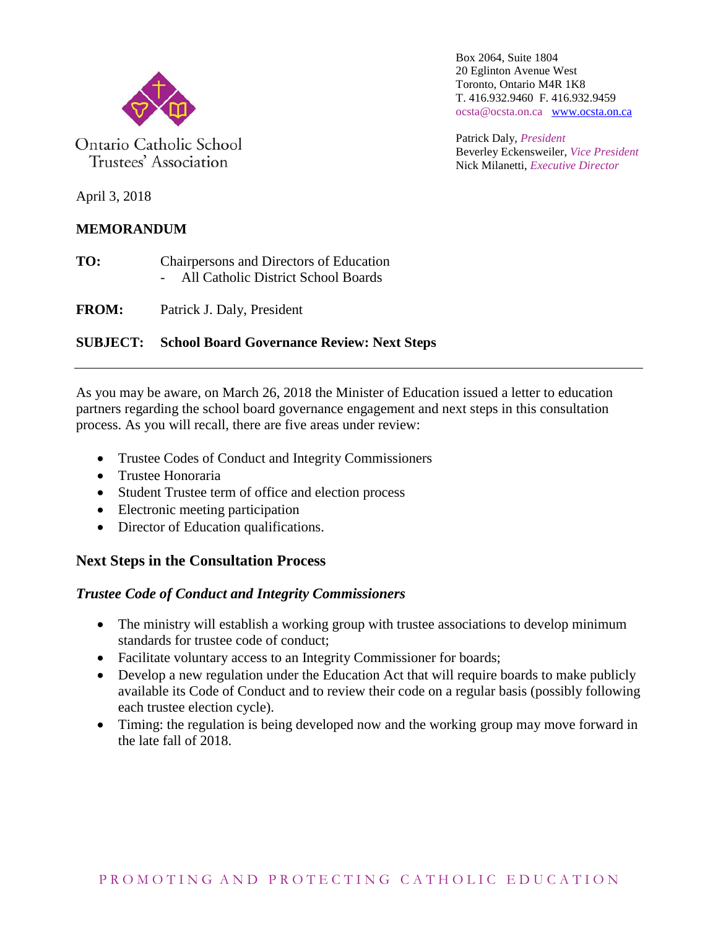

Ontario Catholic School Trustees' Association

Box 2064, Suite 1804 20 Eglinton Avenue West Toronto, Ontario M4R 1K8 T. 416.932.9460 F. 416.932.9459 ocsta@ocsta.on.ca [www.ocsta.on.ca](http://www.ocsta.on.ca/)

Patrick Daly, *President* Beverley Eckensweiler, *Vice President* Nick Milanetti, *Executive Director*

April 3, 2018

## **MEMORANDUM**

**TO:** Chairpersons and Directors of Education - All Catholic District School Boards

**FROM:** Patrick J. Daly, President

## **SUBJECT: School Board Governance Review: Next Steps**

As you may be aware, on March 26, 2018 the Minister of Education issued a letter to education partners regarding the school board governance engagement and next steps in this consultation process. As you will recall, there are five areas under review:

- Trustee Codes of Conduct and Integrity Commissioners
- Trustee Honoraria
- Student Trustee term of office and election process
- Electronic meeting participation
- Director of Education qualifications.

# **Next Steps in the Consultation Process**

### *Trustee Code of Conduct and Integrity Commissioners*

- The ministry will establish a working group with trustee associations to develop minimum standards for trustee code of conduct;
- Facilitate voluntary access to an Integrity Commissioner for boards;
- Develop a new regulation under the Education Act that will require boards to make publicly available its Code of Conduct and to review their code on a regular basis (possibly following each trustee election cycle).
- Timing: the regulation is being developed now and the working group may move forward in the late fall of 2018.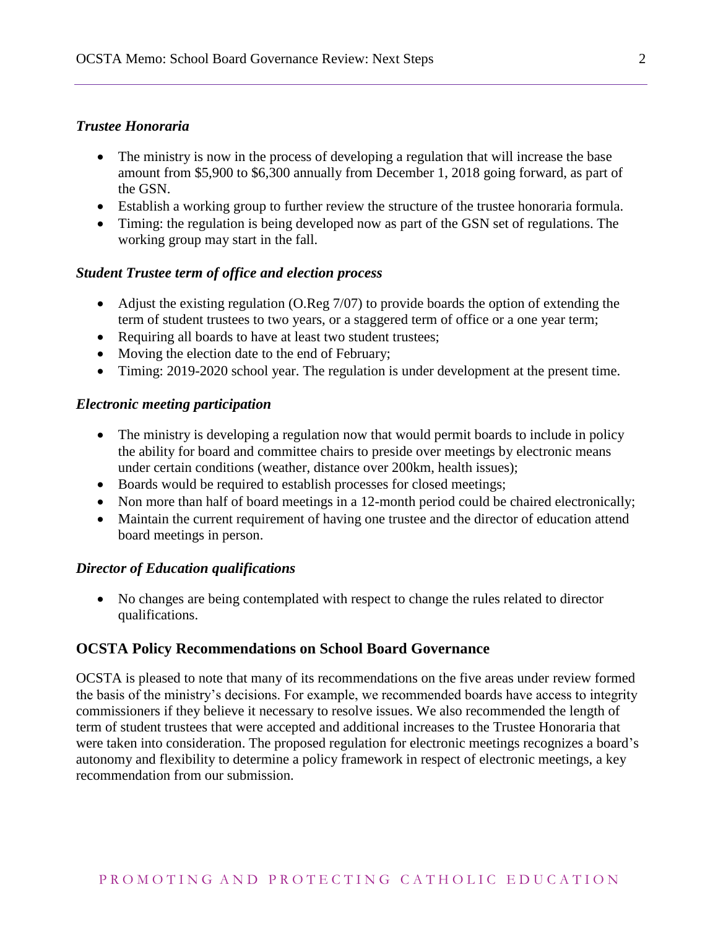#### *Trustee Honoraria*

- The ministry is now in the process of developing a regulation that will increase the base amount from \$5,900 to \$6,300 annually from December 1, 2018 going forward, as part of the GSN.
- Establish a working group to further review the structure of the trustee honoraria formula.
- Timing: the regulation is being developed now as part of the GSN set of regulations. The working group may start in the fall.

### *Student Trustee term of office and election process*

- Adjust the existing regulation (O.Reg 7/07) to provide boards the option of extending the term of student trustees to two years, or a staggered term of office or a one year term;
- Requiring all boards to have at least two student trustees;
- Moving the election date to the end of February;
- Timing: 2019-2020 school year. The regulation is under development at the present time.

#### *Electronic meeting participation*

- The ministry is developing a regulation now that would permit boards to include in policy the ability for board and committee chairs to preside over meetings by electronic means under certain conditions (weather, distance over 200km, health issues);
- Boards would be required to establish processes for closed meetings;
- Non more than half of board meetings in a 12-month period could be chaired electronically;
- Maintain the current requirement of having one trustee and the director of education attend board meetings in person.

#### *Director of Education qualifications*

• No changes are being contemplated with respect to change the rules related to director qualifications.

### **OCSTA Policy Recommendations on School Board Governance**

OCSTA is pleased to note that many of its recommendations on the five areas under review formed the basis of the ministry's decisions. For example, we recommended boards have access to integrity commissioners if they believe it necessary to resolve issues. We also recommended the length of term of student trustees that were accepted and additional increases to the Trustee Honoraria that were taken into consideration. The proposed regulation for electronic meetings recognizes a board's autonomy and flexibility to determine a policy framework in respect of electronic meetings, a key recommendation from our submission.